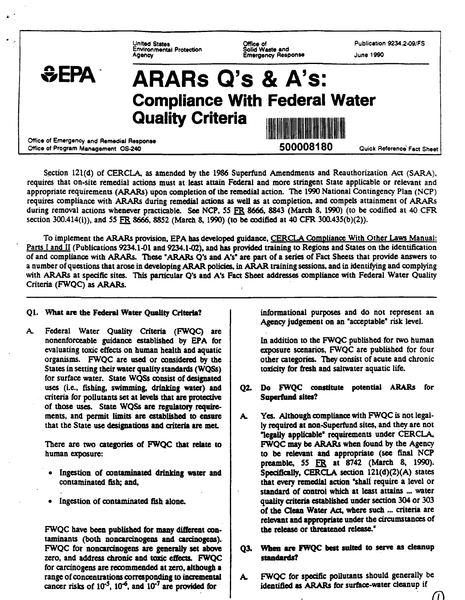United States Environmental Protection Agency

Office of<br>Solid Waste and **Emergency Response**  Publication 9234.2-09/FS

June 1990



Section 121(d) of CERCLA, as amended by the 1986 Superfund Amendments and Reauthorization Act (SARA), **requires that on-site remedial actions must at least attain Federal and more stringent State applicable or relevant and appropriate requirements (ARARs) upon completion of the remedial action. The 1990 National Contingency Plan (NCP) requires compliance with ARARs during remedial actions as well as at completion, and compels attainment of ARARs during removal actions whenever practicable. See NCP, 55 FR 8666, 8843 (March 8, 1990) (to be codified at 40 CFR section 300.414(i)), and 55 FR 8666, 8852 (March 8, 1990) (to be codified at 40 CFR 300.435(b)(2)).** 

**To implement the ARARs provision, EPA has developed guidance, CERCLA Compliance With Other Laws Manual: Parts I and II (Publications 9234.1-01 and 9234.1-02), and has provided training to Regions and States on the identification of and compliance with ARARs. These 'ARARs Q's and A's' are part of a series of Fact Sheets that provide answers to a number of questions that arose in developing ARAR policies, in ARAR training sessions, and in identi^ng and complying**  with ARARs at specific sites. This particular Q's and A's Fact Sheet addresses compliance with Federal Water Quality **Criteria (FWQC) as ARARs.** 

#### **Ql. What are the Federal Water Quality Criteria?**

**A Federal Water Quality Criteria (FWQC) are nonenforceable guidance established by EPA for evaluating toxic effects on human health and aquatic organisms. FWQC are used or considered by the States in setting their water quality standards (WQSs) for surface water. State WQSs consist of designated uses (i.e., fishing, swimming, drinking water) and criteria for pollutants set at levels that are protective of those uses. State WQSs are regulatory requirements, and permit limits are established to ensure that the State use designations and criteria are met** 

**There are two categories of FWQC that relate to human exposure:** 

- **Ingestion of contaminated drinking water and contaminated fish; and,**
- **Ingestion of contaminated fish alone.**

**FWQC have been published for many different contaminants (both noncarcinogens and carcinogens). FWQC for noncarcinogens are generally set above zero, and address chronic and toxic effects. FWQC for carcinogens are recommended at zero, although a range of concentrations corresponding to incremental**  cancer risks of  $10^{-5}$ ,  $10^{-6}$ , and  $10^{-7}$  are provided for

**informational purposes and do not represent an Agency judgement on an 'acceptable' risk level.** 

**In addition to the FWQC published for two human exposure scenarios, FWQC are published for four other categories. They consist of acute and chronic toxicity for fresh and saltwater aquatic life.** 

- **Q2. Do FWQC constitute potential ARARs for Superfund sites?**
- **A. Yes. Although compliance with FWQC is not legally required at non-Superfund sites, and they are not legally applicable\* requirements under CERCIA, FWQC may be ARARs when found by the Agency**  to be relevant and appropriate (see final NCP<br>preamble, 55  $\overline{\text{FR}}$  at 8742 (March 8, 1990). **Specifically, CERCIA section 121(d)(2)(A) states that every remedial action 'shall require a level or standard of control which at least attains ... water quality criteria established under section 304 or 303 of the Qean Water Act, where such ... criteria are relevant and appropriate under the circumstances of the release or threatened release.'**

### **Q3. When are FWQC best suited to serve as cleanup standards?**

A. FWQC for specific pollutants should generally be identified as **ARARs** for surface-water cleanup if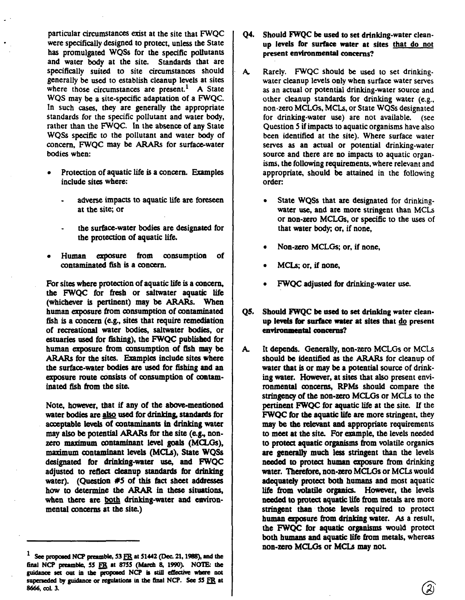**panicular circumstances exist at the site that FWQC were specifically designed to protect, unless the Sute has promulgated WQSs for the specific pollutants and water body at the site. Standards that are specifically suited to site circumstances should generally be used to establish cleanup levels at sites**  where those circumstances are present.<sup>1</sup> A State **WQS may be a site-specific adaptation of a FWQC. In such cases, they are generally the appropriate standards for the specific pollutant and water body, rather than the FWQC. In the absence of any State WQSs specific to the pollutant and water body of concern, FWQC may be ARARs for surface-water bodies when:** 

- **Protection of aquatic life is a concern. Examples include sites where:** 
	- **adverse impacts to aquatic life are foreseen at the site; or**
	- **the surface-water bodies are designated for the protection of aquatic life.**
- **Human exposure from consumption of contaminated fish is a concern.**

**For sites where protection of aquatic life is a concern, the FWQC for fresh or saltwater aquatic life (whichever is pertinent) may be ARARs. When human exposure from consumption of contaminated fish is a concern (e.g., sites that require remediation of recreational water bodies, saltwater bodies, or estuaries used for fishing), the FWQC published for human exposure from consumption of fish may be ARARs for the sites. Examples include sites where the surface-water bodies are used for fishing and an exposure route consists of consumption of contaminated fish from the site.** 

**Note, however, that if any of the above-mentioned**  water bodies are also used for drinking, standards for **acceptable levels of contaminants in drinking water may also be potential ARARs for the site (e.g., non**zero maximum contaminant level goals (MCLGs), maximum contaminant levels (MCLs), State WQSs **designated for drinking-water use, and FWQC adjusted to reflect cleanup standards for drinking water). (Question #5 of this fact sheet addresses how to determine the ARAR in these situations, when there are both drinking-water and environmental concerns at the site.)** 

- **Q4. Should FWQC be used to set drinking-water cleanup levels for surface water at sites that do not present environmental concerns?**
- **A Rarely. FWQC should be used to set drinkingwater cleanup levels only when surface water serves as an actual or potential drinking-water source and other cleanup standards for drinking water (e.g., non-zero MCLGs, MCLs, or State WQSs designated for drinking-water use) are not available, (see Question S if impacts to aquatic organisms have also been identified at the site). Where surface water serves as an actual or potential drinking-water source and there are no impacts to aquatic organisms, the following requirements, where relevant and appropriate, should be attained in the following order:** 
	- **State WQSs that are designated for drinkingwater use, and are more stringent than MCLs or non-zero MCLGs, or specific to the uses of that water body; or, if none,**
	- **Non-zero MCLGs; or, if none,**
	- **MCLs; or, if none,**
	- **FWQC adjusted for drinking-water use.**
- **Q5. Should FWQC be used to set drinking water cleanup levels for surface water at sites that ^ present environmental concerns?**
- **A It depends. Generally, non-zero MCLGs or MCLs should be identified as the ARARs for cleanup of water that is or may be a potential source of drinking water. However, at sites that also present environmental concerns, RPMs should compare the**  stringency of the non-zero MCLGs or MCLs to the pertinent FWQC for aquatic life at the site. If the **FWQC for the aquatic life are more stringent, they may be the relevant and appropriate requirements to meet at the site. For example, the levels needed to protect aquatic organisms from volatile organics are generally much less stringent than the levels**  needed to protect human exposure from drinking **water. Therefore, non-zero MCLGs or MCLs would adequatdy protect both humans and most aquatic life from volatile organics. However, the levels needed to protect aquatic life from metals are more stringent than those levels required to protect human exposure from drinking water. As a result, the FWQC for aquatic organisms would protect both humans and aquatic life from metak, whereas non-zero MCLGs or MCLs may not**

<sup>&</sup>lt;sup>1</sup> See proposed NCP preamble, 53 FR at 51442 (Dec. 21, 1988), and the final NCP preamble, 55 FR at 8755 (March 8, 1990). NOTE: the **guidance am out in die proposed NCP is still effective where not**  superseded by guidance or regulations in the final NCP. See 55 FR at **8666, col. 3.**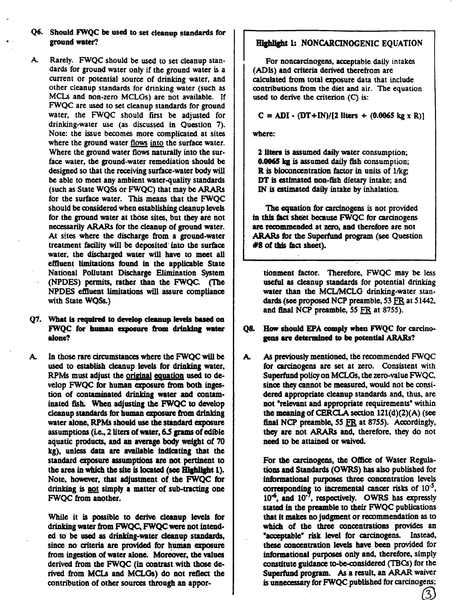# **Q6. Should FWQC be used to set cleanup standards for ground water?**

- **A. Rarely. FWQC should be used to set cleanup standards for ground water only if the ground water is a current or potential source of drinking water, and other cleanup standards for drinking water (such as MCLs and non-zero MCLGs) are not available. If FWQC are used to set cleanup standards for ground water, the FWQC should first be adjusted for drinking-water use (as discussed in Question 7). Note: the issue becomes more complicated at sites where the ground water flows into the surface water. Where the ground water flows naturally into the surface water, the ground-water remediation should be designed so that the receiving surface-water body will be able to meet any ambient water-quality standards (such as State WQSs or FWQC) that may be ARARs for the surface water. This means that the FWQC should be considered when establishing cleanup levels for the ground water at those sites, but they are not necessarily ARARs for the cleanup of ground water. At sites where the discharge from a ground-water treatment facility will be deposited into the surface water, the discharged water will have to meet all effluent limitations found in the applicable State National Pollutant Discharge Elimination System (NPDES) permits, rather than the FWQC (The NPDES effluent limitations will assure compliance with State WQSs.)**
- **Q7. What Is required to develop cleanup levels based on FWQC for human exposure from drinking water alone?**
- **A In those rare circumstances where the FWQC will be used to establish cleanup levels for drinking water, RPMs must adjust the original equation used to develop FWQC for human exposure from both ingestion of contaminated drinking water and contaminated fish. When adjusting the FWQC to develop cleanup standards for human exposure from drinking water alone, RPMs should use the standard exposure assumptions (Le., 2 liters of water, 6.5 grams of edible aquatic products, and an average body weight of 70 kg), unless data are available indicating that the standard exposure assumptions are not pertinent to the area in which the site is located (see Highlight 1). Note, however, that adjustment of the FWQC for drinking is not simply a matter of sub-tracting one FWQC from another.**

**While it is possible to derive cleanup levels for drinking water from FWQC FWQC were not intended to be used as drinking-water cleanup standards, since no criteria are provided for human exposure from ingestion of water alone. Moreover, the values derived from the FWQC (in contrast with those derived from MCLs and MCLGs) do not reflect the contribution of other sources through an appor-**

## **Hlghlight L: NONCARCINOGENIC EQUATION**

**For noncarcinogens, acceptable daily intakes (ADIs) and criteria derived therefrom are calculated from total exposure data that include contributions from the diet and air. The equation used to derive the criterion (C) is:** 

 $C = ADI - (DT+IN)/(2$  liters  $+ (0.0065 \text{ kg} \times R)$ 

**where:** 

**2 liters is assumed daily water consumption; 0.0065 kg is assumed daily fish consumption; R is bioconcentration factor in units of 1/kg; DT** is estimated non-fish dietary intake; and **IN is estimated daily intake by inhalation.** 

**The equation for carcinogens is not provided in this fact sheet because FWQC for carcinogens are recommended at zero, and therefore are not ARARs for the Superfund program (see Question**  #8 of this fact sheet).

**tionment factor. Therefore, FWQC may be less useful as cleanup standards for potential drinking water than the MCL/MCLG drinking-water standards (see proposed NCP preamble, 53 FR at 51442, and final NCP preamble, 55 FR at 8755).** 

- **Q8. How should EPA comply when FWQC for carcinogens are determined to be potential ARARs?**
- **A As previously mentioned, the recommended FWQC for carcinogens are set at zero. Consistent with**  Superfund policy on MCLGs, the zero-value FWQC, **since they cannot be measured, would not be considered appropriate cleanup standards and, thus, are not 'relevant and appropriate requirements' within the meaning of CERCLA section 121(d)(2)(A) (see**  final NCP preamble, 55 FR at 8755). Accordingly, **they are not ARARs and, therefore, they do not need to be attained or waived.**

**For the carcinogens, the Office of Water Regulations and Standards (GWRS) has also published for**  informational purposes three concentration levels corresponding to incremental cancer risks of 10<sup>-5</sup>, **10"\*, and 10", respectively. OWRS has expressly stated in the preamble to their FWQC publications that it makes no judgment or recommendation as to whidi of the three concentrations provides an 'acceptable' risk level for carcinogens. Instead, these concentration levels have been provided for informational purposes only and, therefore, simply constitute guidance to-be-considered (TBCs) for the Superfund program. As a result, an ARAR waiver**  is unnecessary for FWQC published for carcinogens;

 $(3)$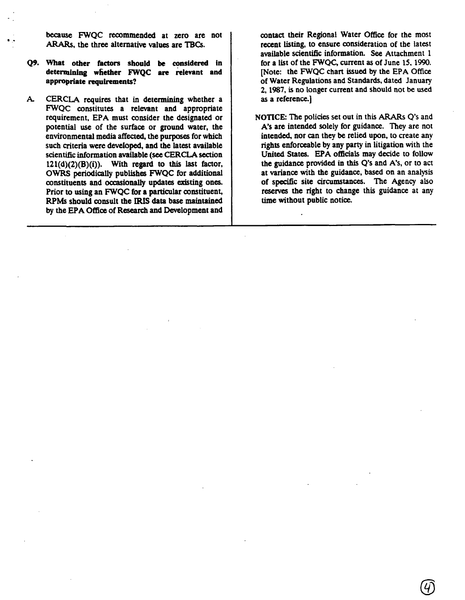**because FWQC recommended at zero are not ARARs, the three alternative values are TBCs.** 

- **Q9. What other factors should be considered In determining whether FWQC are relevant and appropriate requirements?**
- **A. CERCLA requires that in determining whether a FWQC constitutes a relevant and appropriate requirement, EPA must consider the designated or potential use of the surface or ground water, the environmental media affected, the purposes for which such criteria were developed, and the latest available scientific information available (see CERCLA section**   $121(d)(2)(B)(i)$ . With regard to this last factor, **OWRS periodically publishes FWQC for additional constituents and occasionally updates existing ones. Prior to using an FWQC for a particular constituent,**  RPMs should consult the IRIS data base maintained **by the EPA Office of Research and Development and**

contact their Regional Water Office for the most **recent listing, to ensure consideration of the latest available scientific information. See Attachment 1 for a list of the FWQC, current as of June 15,1990. [Note: the FWQC chart issued by the EPA Office of Water Regulations and Standards, dated January 2,1987, is no longer current and should not be used as a reference.]** 

**NOTICE: The policies set out in this ARARs Q's and A's are intended solely for guidance. They are not intended, nor can they be relied upon, to create any rights enforceable by any party in litigation with the United States. EPA officials may decide to follow the guidance provided in this Q's and A's, or to act at variance with the guidance, based on an analysis of specific site circumstances. The Agency also reserves the right to change this guidance at any time without public notice.** 

**0**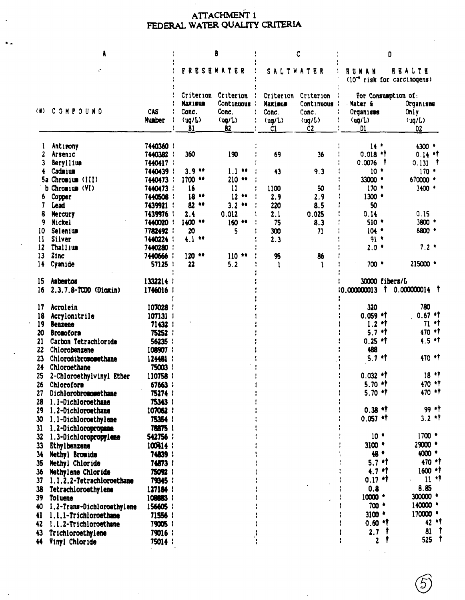# ATTACHMENT I<br>FEDERAL WATER QUALITY CRITERIA

 $\sigma_{\rm{eff}}$ 

 $\ddot{\phantom{a}}$ 

 $\ddot{\phantom{1}}$ 

 $\bar{z}$ 

| A                               |                                                                                           |                                                   | B                                                    |                                                      | C                                                     |                                                   | D                                                                                |                |                                                           |       |
|---------------------------------|-------------------------------------------------------------------------------------------|---------------------------------------------------|------------------------------------------------------|------------------------------------------------------|-------------------------------------------------------|---------------------------------------------------|----------------------------------------------------------------------------------|----------------|-----------------------------------------------------------|-------|
|                                 |                                                                                           |                                                   | FRESEWATER                                           |                                                      | SALTWATER                                             |                                                   | HUMAN                                                                            |                | REALTH<br>(10 <sup>-4</sup> risk for carcinogens)         |       |
| (#)                             | COMPOUND                                                                                  | <b>CAS</b><br><b>Hunber</b>                       | Criterion<br><b>Maxinus</b><br>Conc.<br>(ug/L)<br>81 | Criterion<br>Continuous<br>Conc.<br>(ug/L)<br>B2     | Criterion<br><b>Maxinum</b><br>Conc.<br>( uq/L)<br>C1 | Criterion<br>Continuous<br>Conc.<br>( uq/L)<br>C2 | Water &<br>Organisms<br>$\langle \mathbf{u} \mathbf{q}/\mathbf{L} \rangle$<br>D1 |                | For Consumption of:<br>Organisms<br>Only<br>(ug/L)<br>DZ. |       |
| 3                               | Antimony<br>Arsenic<br>Beryllium                                                          | 7440360 1<br>7440382 :<br>7440417 :               | 360                                                  | 190                                                  | 69                                                    | 36                                                | $14$ .<br>$0.018$ *†<br>0.0076                                                   | - 1            | $4300$ $*$<br>$0.14$ *†<br>$0.131$ †                      |       |
| b                               | Cadmium<br>5a Chromium (III)<br>Chromium (VI)                                             | 7440439 :<br>7440473 :<br>7440473 :               | $3.9**$<br>1700 **<br>16                             | $\bullet \bullet$<br>1.1<br>$210**$<br>$\mathbf{11}$ | 43<br>1100                                            | 9.3<br>50                                         | $10*$<br>33000 *<br>$170$ $*$                                                    |                | $170$ $*$<br>670000 *<br>$3400$ $*$                       |       |
| 7                               | Copper<br>Lead<br>Mercury                                                                 | 7440508 :<br>7439921:<br>7439976 1                | 青金<br>18<br>82 **<br>2.4                             | 12<br><br>3.2<br>金金<br>0.012                         | 2.9<br>220<br>2.1                                     | 2.9<br>8.5<br>0.025                               | $1300$ $*$<br>50<br>0.14                                                         |                | 0.15                                                      |       |
| 9<br>10<br>11<br>12             | Nickel<br>Selenium<br>Silver<br>Thallium                                                  | 7440020:<br>7782492 :<br>7440224<br>7440280 1     | 1400 **<br>20<br>$4.1**$                             | $160**$<br>5                                         | 75<br>300<br>2.3                                      | 8.3<br>71                                         | $510$ $*$<br>$104$ $*$<br>$91$ *<br>$2.0*$                                       |                | 3800 +<br>6800 *<br>$7.2*$                                |       |
| 13<br>14                        | Zinc<br>Cyanide                                                                           | 7440666 1<br>57125 1                              | $120**$<br>22                                        | $110**$<br>5.2                                       | 95<br>1                                               | 86                                                | 700 *                                                                            |                | 215000 *                                                  |       |
| 15<br>16                        | Asbestos<br>2.3.7.8-TCDD (Dickin)                                                         | 1332214<br>1746016                                |                                                      |                                                      |                                                       |                                                   | 30000 fibers/L<br>0.000000013                                                    |                | $\dagger$ 0.000000014 $\dagger$                           |       |
| 17<br>18<br>19<br>20<br>21      | Acrolein<br>Acrylonitrile<br><b>Benzene</b><br><b>Bronoform</b><br>Carbon Tetrachloride   | 107028 1<br>107131<br>71432 1<br>75252 :<br>56235 |                                                      |                                                      |                                                       |                                                   | 320<br>$0.059$ *†<br>$1.2$ ^†<br>$5.7$ *†<br>$0.25$ *†                           |                | 780<br>$0.67$ *†<br>$71 * t$<br>470 **<br>$4.5$ **        |       |
| 22<br>23                        | Chlorobenzene<br>Chiorodibromomethane                                                     | 108907<br>124481                                  |                                                      |                                                      |                                                       |                                                   | 488<br>$5.7 *1$                                                                  |                | 470 * †                                                   |       |
| 24<br>25<br>26<br>27            | Chloroethane<br>2-Chloroethylvinyl Ether<br>Chloroform<br>Dichlorobromomethane            | 75003 1<br>110758 :<br>67663  <br>75274           |                                                      |                                                      |                                                       |                                                   | $0.032 * T$<br>$5.70$ *†<br>5.70 °T                                              |                | $18 + 7$<br>$470$ * †<br>$470 +$                          |       |
| 28<br>29<br>30<br>31            | 1.1-Dichloroethane<br>1.2-Dichloroethane<br>1.1-Dichloroethylene<br>1.2-Dichloropropane   | 75343 1<br>107062<br>75354 1<br>78875 1           |                                                      |                                                      |                                                       |                                                   | $0.38$ *†<br>$0.057$ *†                                                          |                | 99 **<br>$3.2$ *t                                         |       |
| 32<br>33<br>34.                 | 1.3-Dichloropropylene<br><b>Ethylbenzene</b><br>Methyl Bromide                            | 542756 1<br>100414  <br>74839 1                   |                                                      |                                                      |                                                       |                                                   | 10 <sup>4</sup><br>$3100$ $*$<br>相 *                                             |                | $1700$ $*$<br>29000 +<br>$4000$ $*$<br>$470 +$            |       |
| 35<br>36<br>37<br>38            | Methyl Chloride<br>Methylene Chloride<br>1.1.2.2-Tetrachloroethane<br>Tetrachioroethylene | 74873 1<br>75092 1<br>79345 1<br>127184           |                                                      |                                                      |                                                       |                                                   | $5.7$ ^†<br>$4.7$ ^†<br>$0.17$ *t<br>0.8                                         |                | 1600 **<br>$11$ **<br>8.85                                |       |
| 39<br>40<br>$\ddot{\mathbf{H}}$ | Toluene<br>1.2-Trans-Dichloroethylene<br>1.1.1-Trichloroethane                            | 108883<br>156605 1<br>71556 1                     |                                                      |                                                      |                                                       |                                                   | 10000 *<br>700 *<br>$3100*$                                                      |                | 300000 *<br>140000 *<br>170000 *                          |       |
| 43                              | 42 1.1.2-Trichloroethane<br>Trichloroethylene<br>44 Vinyl Chloride                        | 79005 1<br>79016 1<br>75014                       |                                                      |                                                      |                                                       |                                                   | $0.60$ <sup>*</sup><br>2.7 <sup>†</sup>                                          | 2 <sub>1</sub> | 81<br>$525$ †                                             | 42 ** |

 $\ddot{\phantom{a}}$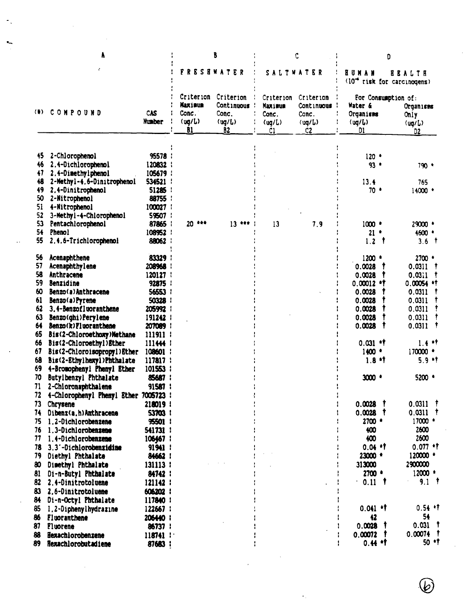| ٨                                       |                                                                                                                                                                                                       |                                                                                  | B                                                    |                                                     | C                                              |                                                         | D                                                                                 |                                                                                       |  |
|-----------------------------------------|-------------------------------------------------------------------------------------------------------------------------------------------------------------------------------------------------------|----------------------------------------------------------------------------------|------------------------------------------------------|-----------------------------------------------------|------------------------------------------------|---------------------------------------------------------|-----------------------------------------------------------------------------------|---------------------------------------------------------------------------------------|--|
|                                         |                                                                                                                                                                                                       |                                                                                  | <b>FRESHWATER</b>                                    |                                                     | <b>SALTWATER</b>                               |                                                         | EUMAN<br><b>HEALTH</b><br>(10 <sup>-6</sup> risk for carcinogens)                 |                                                                                       |  |
| (₩).                                    | COMPOUND                                                                                                                                                                                              | <b>CAS</b><br>Number                                                             | Criterion<br><b>Maxinum</b><br>Conc.<br>(ug/L)<br>81 | Criterion<br>Continuous :<br>Conc.<br>(ug/L)<br>32, | Criterion<br>Maximum<br>Conc.<br>( uq/L)<br>C1 | Criterion<br><b>Continuous</b><br>Conc.<br>(ug/L)<br>C2 | For Consumption of:<br>Water &<br>Organisms<br>( uq/L)<br>D1                      | Organisms<br>Only<br>( uq/L)<br>D2                                                    |  |
| 45<br>46<br>47<br>48<br>49<br>50<br>51  | 2-Chlorophenol<br>2.4-Dichlorophenol<br>2.4-Dimethylphenol<br>2-Methyl-4.6-Dinitrophenol<br>2.4-Dinitrophenol<br>2-Nitrophenol<br>4-Nitrophenol                                                       | 95578 1<br>120832 :<br>105679 :<br>534521 :<br>51285 :<br>88755 :<br>100027      |                                                      |                                                     |                                                |                                                         | $120$ $*$<br>$93 -$<br>13.4<br>70 *                                               | $790*$<br>765<br>$14000$ $*$                                                          |  |
| 52<br>53<br>54<br>55                    | 3-Methyl-4-Chlorophenol<br>Pentachlorophenol<br><b>Phenol</b><br>2.4.6-Trichlorophenol                                                                                                                | 59507 1<br>87865 :<br>108952 1<br>88062 :                                        | 20 ***                                               | $13***$                                             | 13                                             | 7.9                                                     | $1000$ $*$<br>$21 -$<br>$1.2$ †                                                   | 29000 *<br>$4600$ $*$<br>$3.6$ †                                                      |  |
| 56<br>57<br>58<br>59<br>60<br>61<br>62  | Acenaphthene<br>Acenaphthy lene<br>Anthracene<br>Benzidine<br>Benzo(a)Anthracene<br>Benzo(a)Pyrene<br>3.4-Benzofluoranthene                                                                           | 83329<br>208968<br>120127 :<br>92875 :<br>56553<br>50328<br>205992               |                                                      |                                                     |                                                |                                                         | $1200$ $*$<br>0.0028<br>T<br>0.0028<br>$0.00012$ *T<br>0.0028<br>0.0028<br>0.0028 | $2700$ $*$<br>$0.0311$ †<br>0.0311<br>$0.00054$ *†<br>0.0311<br>0.0311<br>ा<br>0.0311 |  |
| 63<br>64.<br>65<br>66<br>67<br>68<br>69 | Benzo(ghi)Perylene<br><b>Benzo(k)Fluoranthene</b><br>Bis(2-Chloroethoxy)Methane<br>Bis(2-Chloroethyl)Ether<br>Bis(2-Chloroisopropyl)Ether<br>Bis(2-Ethylhexyl)Phthalate<br>4-Bromophenyi Phenyl Ether | 191242<br>207089<br>111911 :<br>11144:<br>108601<br>117817:<br>101553            |                                                      |                                                     |                                                |                                                         | 0.0028<br>0.0028<br>T<br>$0.031$ *†<br>$1400$ $*$<br>$1.8$ <sup>a</sup>           | 0.0311<br>0.0311<br>T<br>$1.4$ **<br>170000 *<br>$5.9 *t$                             |  |
| 70<br>71<br>72<br>73                    | Butylbenzyl Phthalate<br>2-Chioronaphthalene<br>4-Chlorophenyl Phenyl Ether 7005723 :<br>Chrysene<br>74 Dibenz(a, h) Anthracene<br>75 1.2-Dichlorobenzene<br>76 1.3-Dichlorobenzene                   | 85687<br>91587 1<br>218019 :<br>53703<br>95501 1<br>541731 1                     |                                                      |                                                     |                                                |                                                         | $3000$ $*$<br>$0.0028$ T<br>$0.0028$ t<br>2700 *<br>400                           | 5200 *<br>$0.0311$ †<br>$0.0311$ †<br>$17000 +$<br>2600                               |  |
| 77<br>79<br>80<br>81<br>82              | 1.4-Dichlorobenzene<br>78 3.3 - Dichlorobenzidine<br>Diethyl Phthalate<br>Dimethyl Phthalate<br>Di-n-Butyl Phthalate<br>2.4-Dinitrotoluene                                                            | 106467<br>91941<br>84662<br>131113  <br>84742 :<br>121142 :                      |                                                      |                                                     |                                                |                                                         | 400<br>$0.04$ *T<br>23000 *<br>313000<br>$2700$ $*$<br>$0.11$ T                   | 2600<br>0.077 *†<br>120000 +<br>2900000<br>12000 *<br>$9.1$ 1                         |  |
| 83<br>84<br>85<br>86<br>88<br>89        | 2.6-Dinitrotoluene<br>Di-n-Octyl Phthalate<br>1.2-Diphenylhydrazıne<br>Fluoranthene<br>87 Fluorene<br>Eexachiorobenzene<br>Rexachlorobutadiene                                                        | 606202  <br>117840 :<br>122667 :<br>206440 1<br>86737 1<br>$118741$ :<br>87683 ! |                                                      |                                                     |                                                |                                                         | $0.041$ *†<br>42<br>0.0028<br>$0.00072$ †<br>$0.44$ ^†                            | $0.54$ *1<br>54<br>0.031<br>0.00074<br>$50$ $^{*1}$                                   |  |

 $\bar{z}$ 

 $\circledast$ 

 $\ddot{\phantom{0}}$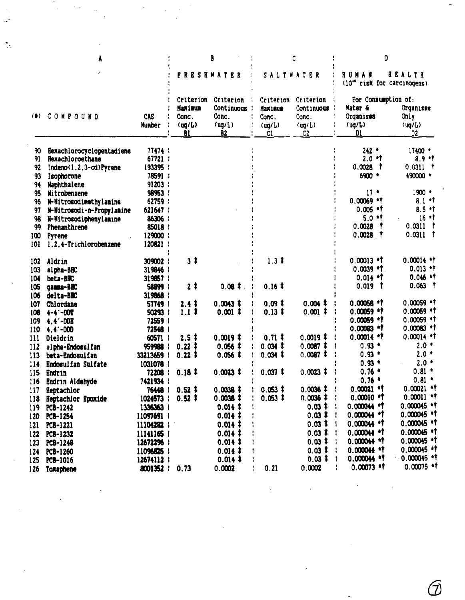|            |                           |                             |                                   |                                                               |                                                        |                                                    | $(104$ risk for carcinogens)                                |                                                    |
|------------|---------------------------|-----------------------------|-----------------------------------|---------------------------------------------------------------|--------------------------------------------------------|----------------------------------------------------|-------------------------------------------------------------|----------------------------------------------------|
|            | (#) COMPOUND              | <b>CAS</b><br><b>Number</b> | Maximun<br>Conc.<br>( uq/L)<br>81 | Criterion Criterion<br>Continuous :<br>Conc.<br>(ug/L)<br>82. | Criterion<br><b>Maximum</b><br>Conc.<br>( uq/L)<br>.C1 | Criterion<br>Continuous :<br>Conc.<br>(ug/L)<br>C2 | For Consumption of:<br>Water &<br>Organisms<br>(ug/L)<br>D1 | Organisms<br>Only<br>$\langle uq/L \rangle$<br>02. |
|            |                           |                             |                                   |                                                               |                                                        |                                                    |                                                             |                                                    |
| 90.        | Eexachlorocyclopentadiene | 77474                       |                                   |                                                               |                                                        |                                                    | $242$ $*$                                                   | 17400 .                                            |
| 91         | Hexachloroethane          | 67721 1                     |                                   |                                                               |                                                        |                                                    | $2.0$ <sup>a</sup> t                                        | $8.9$ $\cdot$ t                                    |
| 92         | Indeno(1.2.3-cd)Pyrene    | 193395 :                    |                                   |                                                               |                                                        |                                                    | $0.0028$ †                                                  | $0.0311$ †                                         |
| 93         | Isophorone                | 78591 :                     |                                   |                                                               |                                                        |                                                    | $6900$ $*$                                                  | 490000 +                                           |
| 94         | Naphthalene               | 91203 :                     |                                   |                                                               |                                                        |                                                    |                                                             |                                                    |
| 95         | Nitrobenzene              | 98953 1                     |                                   |                                                               |                                                        |                                                    | $17*$                                                       | 1900 *                                             |
| 96         | N-Nitrosodimethylamine    | 62759 1                     |                                   |                                                               |                                                        |                                                    | $0.00069$ *1                                                | $8.1$ . 1                                          |
| 97         | N-Nitrosodi-n-Propylamine | 621647 :                    |                                   |                                                               |                                                        |                                                    | $0.005$ <sup>a</sup> t                                      | $8.5$ . †                                          |
| 98<br>99   | N-Nitrosodiphenylamine    | 86306 %                     |                                   |                                                               |                                                        |                                                    | $5.0$ <sup><math>\bullet</math>†</sup><br>0.0028            | $16$ *t<br>$0.0311$ †                              |
|            | Phenanthrene              | 85018 1<br>129000 :         |                                   |                                                               |                                                        |                                                    | $0.0028$ T                                                  | $0.0311$ †                                         |
| 100        | Pyrene                    | 120821 :                    |                                   |                                                               |                                                        |                                                    |                                                             |                                                    |
| 101        | 1.2.4-Trichlorobenzene    |                             |                                   |                                                               |                                                        |                                                    |                                                             |                                                    |
| 102        | Aldrin                    | 309002                      | 3 <sup>†</sup>                    |                                                               | $1.3 \;$ ‡                                             |                                                    | $0.00013$ *1                                                | $0.00014$ *†                                       |
| 103        | alpha-BEC                 | 319846 1                    |                                   |                                                               |                                                        |                                                    | $0.0039$ <sup>*</sup>                                       | $0.013$ *†                                         |
| 104        | beta-BBC                  | 319857                      |                                   |                                                               |                                                        |                                                    | $0.014$ *T                                                  | $0.046$ *†                                         |
|            | 105 gamma-BBC             | 58899 1                     | 2 <sup>1</sup>                    | $0.08$ ‡                                                      | $0.16$ #                                               |                                                    | $0.019$ t                                                   | $0.063$ †                                          |
|            | 106 delta-BBC             | 319868 1                    |                                   |                                                               |                                                        |                                                    |                                                             |                                                    |
|            | 107 Chlordane             | 57749 1                     | $2.4*$                            | $0.0043$ ‡                                                    | $0.09$ ‡                                               | $0.004 \;$ ‡                                       | $0.00058$ *1                                                | 0.00059 **                                         |
| 108        | $4 - 4 - 00T$             | 50293                       | $1.1 \;$                          | $0.001$ ‡                                                     | $0.13 \;$ ‡                                            | $0.001$ #                                          | $0.00059$ *                                                 | $0.00059$ *t                                       |
|            | 109 4.4 DDE               | 72559 1                     |                                   |                                                               |                                                        |                                                    | $0.00059$ *1                                                | $0.00059$ **                                       |
|            | $110 + 4.4 - 000$         | 72548 1                     |                                   |                                                               |                                                        |                                                    | $0.00083$ *T                                                | $0.00083$ *†                                       |
|            | 111 Dieldrin              | 60571 1                     | $2.5$ ‡                           | $0.0019$ ‡                                                    | $0.71 \;$                                              | $0.0019$ #                                         | $0.00014$ *t                                                | 0.00014 **                                         |
| 112        | a 1 pha-Endosu 1 f an     | 959988 1                    | $0.22 \;$ ‡                       | $0.056$ #                                                     | $0.034 \;$ ‡                                           | $0.0087$ ‡                                         | $0.93*$                                                     | $2.0*$                                             |
|            | 113 beta-Endosulfan       | 33213659 1                  | $0.22 \;$                         | $0.056$ #                                                     | $0.034$ ‡                                              | $0.0087$ #                                         | $0.93 -$                                                    | $2.0*$                                             |
|            | 114 Endosulfan Sulfate    | 1031078 :                   |                                   |                                                               |                                                        |                                                    | $0.93*$                                                     | $2.0*$                                             |
|            | 115 Endrin                | 72208 :                     | $0.18$ #                          | $0.0023$ ‡                                                    | $0.037$ ‡                                              | $0.0023$ #                                         | $0.76$ $*$                                                  | $0.81$ $*$                                         |
| <b>116</b> | Endrin Aldehyde           | 7421934:                    |                                   |                                                               |                                                        |                                                    | $0.76$ $*$                                                  | $0.81$ $*$                                         |
| 117        | Heptachlor                | 76448 :                     | $0.52 \;$ ‡                       | $0.0038$ #                                                    | $0.053$ ‡                                              | $0.0036$ #                                         | $0.00021$ *                                                 | $0.00021$ *                                        |
|            | 118 Heptachlor Epoxide    | 1024573 : 0.52 ‡            |                                   | $0.0038$ ‡                                                    | $0.053$ ‡                                              | $0.0036 \;$ $\ddagger$ :                           | $0.00010$ *t                                                | $0.00011$ *†                                       |
|            | 119 PCB-1242              | 1336363 1                   |                                   | $0.014 \;$                                                    |                                                        | $0.03 \;$ $\ddagger$ :                             | 0.000044 **                                                 | 0.000045 **                                        |
|            | 120 PCB-1254              | 11097691                    |                                   | $0.014$ #                                                     |                                                        | $0.03 \;$ $\uparrow$ $\;$ $\vdots$                 | $0.000044$ *                                                | $0.000045$ *                                       |
|            | 121 PCB-1221              | 11104282 :                  |                                   | $0.014 \;$                                                    |                                                        | $0.03 \;$ $\ddagger$ $\;$ $\vdots$                 | $0.000044$ *                                                | $0.000045$ *                                       |
|            | 122 PCB-1232              | 11141165 1                  |                                   | $0.014 \;$                                                    |                                                        | $0.03$ ‡ :                                         | $0.000044$ *                                                | 0.000045 **                                        |
|            | 123 PCB-1248              | 12672296 1                  |                                   | $0.014 \;$ #                                                  |                                                        | $0.03$ # :                                         | $0.00004$ . 1                                               | $0.000045$ *                                       |
|            | 124 PCB-1260              | 11096825                    |                                   | $0.014$ #                                                     |                                                        | $0.03 \;$ # $\;$ +                                 | $0.000044$ *                                                | $0.000045$ *                                       |
|            | 125 PCB-1016              | 12674112                    |                                   | $0.014 \;$                                                    |                                                        | $0.03 \; 1 \;$                                     | $0.00004$ *                                                 | $-0.000045$ *1<br>$0.00075$ *1                     |
|            | 126 Toxaphene             | 8001352   0.73              |                                   | 0.0002                                                        | 0.21                                                   | 0.0002                                             | $0.00073$ *t<br>÷                                           |                                                    |
|            |                           |                             |                                   |                                                               |                                                        |                                                    |                                                             |                                                    |

 $\label{eq:2.1} \mathcal{L}(\mathcal{L}^{\mathcal{L}}_{\mathcal{L}}(\mathcal{L}^{\mathcal{L}}_{\mathcal{L}})) = \mathcal{L}(\mathcal{L}^{\mathcal{L}}_{\mathcal{L}}(\mathcal{L}^{\mathcal{L}}_{\mathcal{L}})) = \mathcal{L}(\mathcal{L}^{\mathcal{L}}_{\mathcal{L}}(\mathcal{L}^{\mathcal{L}}_{\mathcal{L}}))$ 

 $\mathcal{L}^{\text{max}}_{\text{max}}$  and  $\mathcal{L}^{\text{max}}_{\text{max}}$ 

 $\label{eq:2.1} \frac{1}{\sqrt{2}}\int_{\mathbb{R}^3}\frac{1}{\sqrt{2}}\left(\frac{1}{\sqrt{2}}\right)^2\frac{1}{\sqrt{2}}\left(\frac{1}{\sqrt{2}}\right)^2\frac{1}{\sqrt{2}}\left(\frac{1}{\sqrt{2}}\right)^2.$ 

 $\mathbb{Z}^2$ 

 $\label{eq:2} \frac{1}{\sqrt{2}}\int_{0}^{\infty}\frac{1}{\sqrt{2}}\left(\frac{1}{\sqrt{2}}\right)^{2}d\theta.$ 

 $\bigcirc$